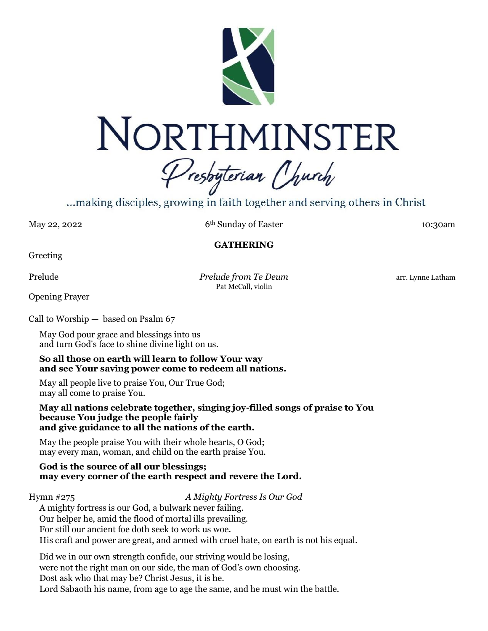

# NORTHMINSTER

Presbyterian Church

...making disciples, growing in faith together and serving others in Christ.

May 22, 2022 6<sup>th</sup> Sunday of Easter 10:30am

## **GATHERING**

Greeting

Prelude *Prelude from Te Deum* arr. Lynne Latham Pat McCall, violin

Opening Prayer

Call to Worship — based on Psalm 67

May God pour grace and blessings into us and turn God's face to shine divine light on us.

#### **So all those on earth will learn to follow Your way and see Your saving power come to redeem all nations.**

May all people live to praise You, Our True God; may all come to praise You.

**May all nations celebrate together, singing joy-filled songs of praise to You because You judge the people fairly and give guidance to all the nations of the earth.**

May the people praise You with their whole hearts, O God; may every man, woman, and child on the earth praise You.

#### **God is the source of all our blessings; may every corner of the earth respect and revere the Lord.**

Hymn #275 *A Mighty Fortress Is Our God*

A mighty fortress is our God, a bulwark never failing. Our helper he, amid the flood of mortal ills prevailing. For still our ancient foe doth seek to work us woe. His craft and power are great, and armed with cruel hate, on earth is not his equal.

Did we in our own strength confide, our striving would be losing, were not the right man on our side, the man of God's own choosing. Dost ask who that may be? Christ Jesus, it is he. Lord Sabaoth his name, from age to age the same, and he must win the battle.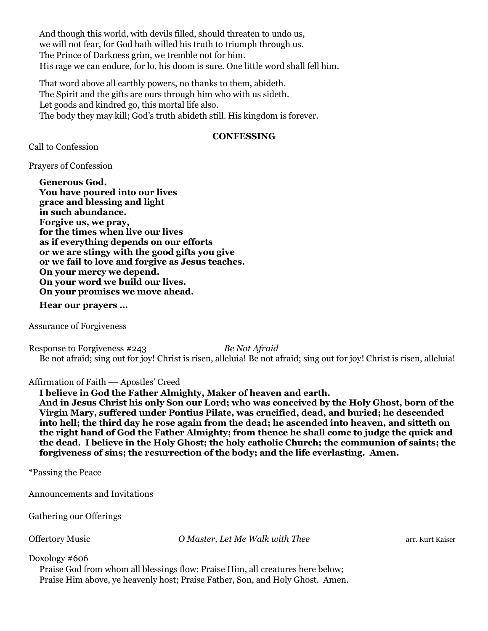And though this world, with devils filled, should threaten to undo us, we will not fear, for God hath willed his truth to triumph through us. The Prince of Darkness grim, we tremble not for him. His rage we can endure, for lo, his doom is sure. One little word shall fell him.

That word above all earthly powers, no thanks to them, abideth. The Spirit and the gifts are ours through him who with us sideth. Let goods and kindred go, this mortal life also. The body they may kill; God's truth abideth still. His kingdom is forever.

#### **CONFESSING**

Call to Confession

Prayers of Confession

**Generous God, You have poured into our lives grace and blessing and light in such abundance. Forgive us, we pray, for the times when live our lives as if everything depends on our efforts or we are stingy with the good gifts you give or we fail to love and forgive as Jesus teaches. On your mercy we depend. On your word we build our lives. On your promises we move ahead.**

**Hear our prayers …**

Assurance of Forgiveness

Response to Forgiveness #243 *Be Not Afraid* Be not afraid; sing out for joy! Christ is risen, alleluia! Be not afraid; sing out for joy! Christ is risen, alleluia!

#### Affirmation of Faith — Apostles' Creed

**I believe in God the Father Almighty, Maker of heaven and earth.**

**And in Jesus Christ his only Son our Lord; who was conceived by the Holy Ghost, born of the Virgin Mary, suffered under Pontius Pilate, was crucified, dead, and buried; he descended into hell; the third day he rose again from the dead; he ascended into heaven, and sitteth on the right hand of God the Father Almighty; from thence he shall come to judge the quick and the dead. I believe in the Holy Ghost; the holy catholic Church; the communion of saints; the forgiveness of sins; the resurrection of the body; and the life everlasting. Amen.**

\*Passing the Peace

Announcements and Invitations

Gathering our Offerings

Offertory Music **O Master, Let Me Walk with Thee** arr. Kurt Kaiser

Doxology #606

Praise God from whom all blessings flow; Praise Him, all creatures here below; Praise Him above, ye heavenly host; Praise Father, Son, and Holy Ghost. Amen.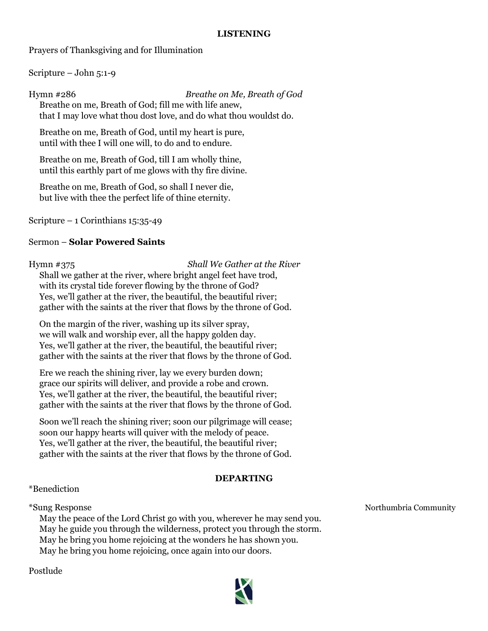#### **LISTENING**

Prayers of Thanksgiving and for Illumination

Scripture – John 5:1-9

Hymn #286 *Breathe on Me, Breath of God* Breathe on me, Breath of God; fill me with life anew, that I may love what thou dost love, and do what thou wouldst do.

Breathe on me, Breath of God, until my heart is pure, until with thee I will one will, to do and to endure.

Breathe on me, Breath of God, till I am wholly thine, until this earthly part of me glows with thy fire divine.

Breathe on me, Breath of God, so shall I never die, but live with thee the perfect life of thine eternity.

Scripture – 1 Corinthians  $15:35-49$ 

#### Sermon – **Solar Powered Saints**

Hymn #375 *Shall We Gather at the River* Shall we gather at the river, where bright angel feet have trod, with its crystal tide forever flowing by the throne of God? Yes, we'll gather at the river, the beautiful, the beautiful river; gather with the saints at the river that flows by the throne of God.

On the margin of the river, washing up its silver spray, we will walk and worship ever, all the happy golden day. Yes, we'll gather at the river, the beautiful, the beautiful river; gather with the saints at the river that flows by the throne of God.

Ere we reach the shining river, lay we every burden down; grace our spirits will deliver, and provide a robe and crown. Yes, we'll gather at the river, the beautiful, the beautiful river; gather with the saints at the river that flows by the throne of God.

Soon we'll reach the shining river; soon our pilgrimage will cease; soon our happy hearts will quiver with the melody of peace. Yes, we'll gather at the river, the beautiful, the beautiful river; gather with the saints at the river that flows by the throne of God.

#### **DEPARTING**

## \*Benediction

May the peace of the Lord Christ go with you, wherever he may send you. May he guide you through the wilderness, protect you through the storm. May he bring you home rejoicing at the wonders he has shown you. May he bring you home rejoicing, once again into our doors.

Postlude



\*Sung Response Northumbria Community